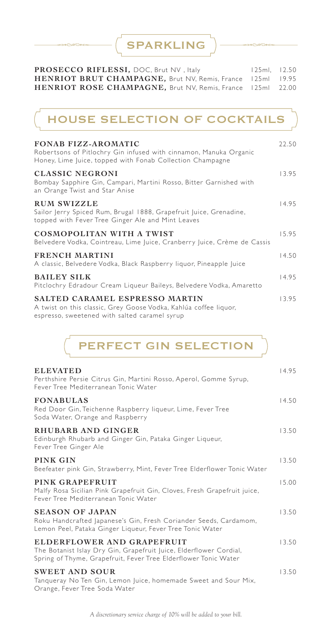SPARKLING

| PROSECCO RIFLESSI, DOC, Brut NV, Italy                     | $125ml.$ $12.50$ |  |
|------------------------------------------------------------|------------------|--|
| HENRIOT BRUT CHAMPAGNE, Brut NV, Remis, France 125ml 19.95 |                  |  |
| HENRIOT ROSE CHAMPAGNE, Brut NV, Remis, France 125ml 22.00 |                  |  |

# HOUSE SELECTION OF COCKTAILS

| <b>FONAB FIZZ-AROMATIC</b><br>Robertsons of Pitlochry Gin infused with cinnamon, Manuka Organic<br>Honey, Lime Juice, topped with Fonab Collection Champagne | 22.50 |
|--------------------------------------------------------------------------------------------------------------------------------------------------------------|-------|
| <b>CLASSIC NEGRONI</b><br>Bombay Sapphire Gin, Campari, Martini Rosso, Bitter Garnished with<br>an Orange Twist and Star Anise                               | 13.95 |
| <b>RUM SWIZZLE</b><br>Sailor Jerry Spiced Rum, Brugal 1888, Grapefruit Juice, Grenadine,<br>topped with Fever Tree Ginger Ale and Mint Leaves                | 14.95 |
| COSMOPOLITAN WITH A TWIST<br>Belvedere Vodka, Cointreau, Lime Juice, Cranberry Juice, Crème de Cassis                                                        | 15.95 |
| <b>FRENCH MARTINI</b><br>A classic, Belvedere Vodka, Black Raspberry liquor, Pineapple Juice                                                                 | 14.50 |
| <b>BAILEY SILK</b><br>Pitclochry Edradour Cream Liqueur Baileys, Belvedere Vodka, Amaretto                                                                   | 14.95 |
| SALTED CARAMEL ESPRESSO MARTIN<br>A twist on this classic, Grey Goose Vodka, Kahlúa coffee liquor,<br>espresso, sweetened with salted caramel syrup          | 13.95 |

PERFECT GIN SELECTION

| <b>ELEVATED</b><br>Perthshire Persie Citrus Gin, Martini Rosso, Aperol, Gomme Syrup,<br>Fever Tree Mediterranean Tonic Water                                        | 14.95 |
|---------------------------------------------------------------------------------------------------------------------------------------------------------------------|-------|
| <b>FONABULAS</b><br>Red Door Gin, Teichenne Raspberry liqueur, Lime, Fever Tree<br>Soda Water, Orange and Raspberry                                                 | 14.50 |
| RHUBARB AND GINGER<br>Edinburgh Rhubarb and Ginger Gin, Pataka Ginger Liqueur,<br>Fever Tree Ginger Ale                                                             | 13.50 |
| PINK GIN<br>Beefeater pink Gin, Strawberry, Mint, Fever Tree Elderflower Tonic Water                                                                                | 13.50 |
| PINK GRAPEFRUIT<br>Malfy Rosa Sicilian Pink Grapefruit Gin, Cloves, Fresh Grapefruit juice,<br>Fever Tree Mediterranean Tonic Water                                 | 15.00 |
| <b>SEASON OF JAPAN</b><br>Roku Handcrafted Japanese's Gin, Fresh Coriander Seeds, Cardamom,<br>Lemon Peel, Pataka Ginger Liqueur, Fever Tree Tonic Water            | 13.50 |
| ELDERFLOWER AND GRAPEFRUIT<br>The Botanist Islay Dry Gin, Grapefruit Juice, Elderflower Cordial,<br>Spring of Thyme, Grapefruit, Fever Tree Elderflower Tonic Water | 13.50 |
| <b>SWEET AND SOUR</b><br>Tanqueray No Ten Gin, Lemon Juice, homemade Sweet and Sour Mix,<br>Orange, Fever Tree Soda Water                                           | 13.50 |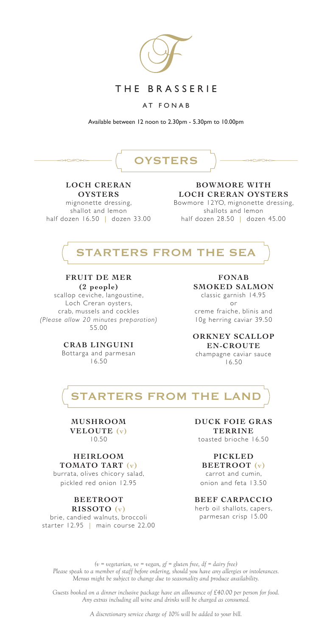

## THE BRASSERIE

AT FONAB

Available between 12 noon to 2.30pm - 5.30pm to 10.00pm

# **OYSTERS**

#### **LOCH CRERAN OYSTERS**

mignonette dressing, shallot and lemon half dozen 16.50 | dozen 33.00

#### **BOWMORE WITH LOCH CRERAN OYSTERS**

Bowmore 12YO, mignonette dressing, shallots and lemon half dozen 28.50 | dozen 45.00



# **FRUIT DE MER**

**(2 people)**  scallop ceviche, langoustine, Loch Creran oysters, crab, mussels and cockles *(Please allow 20 minutes preparation)* 55.00

#### **CRAB LINGUINI** Bottarga and parmesan

16.50

**FONAB SMOKED SALMON** classic garnish 14.95 or creme fraiche, blinis and

10g herring caviar 39.50

**ORKNEY SCALLOP EN-CROUTE** champagne caviar sauce 16.50



#### **MUSHROOM VELOUTE (v)** 10.50

#### **HEIRLOOM TOMATO TART (v)**

burrata, olives chicory salad, pickled red onion 12.95

#### **BEETROOT RISSOTO (v)**

brie, candied walnuts, broccoli starter 12.95 | main course 22.00 **DUCK FOIE GRAS TERRINE** toasted brioche 16.50

### **PICKLED**

**BEETROOT (v)**

carrot and cumin, onion and feta 13.50

#### **BEEF CARPACCIO**

herb oil shallots, capers, parmesan crisp 15.00

*(v = vegetarian, ve = vegan, gf = gluten free, df = dairy free) Please speak to a member of staff before ordering, should you have any allergies or intolerances. Menus might be subject to change due to seasonality and produce availability.*

*Guests booked on a dinner inclusive package have an allowance of £40.00 per person for food. Any extras including all wine and drinks will be charged as consumed.*

*A discretionary service charge of 10% will be added to your bill.*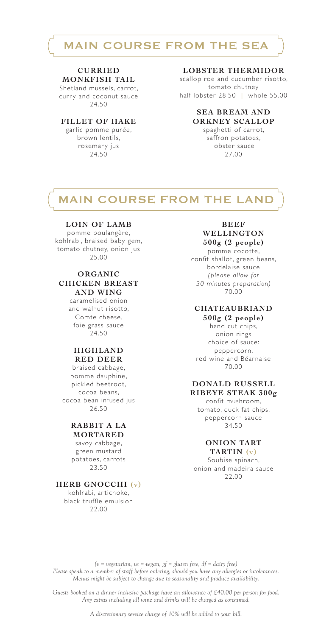# MAIN COURSE FROM THE SEA

### **CURRIED**

**MONKFISH TAIL** Shetland mussels, carrot,

curry and coconut sauce 24.50

#### **FILLET OF HAKE**

garlic pomme purée, brown lentils, rosemary jus 24.50

#### **LOBSTER THERMIDOR**

scallop roe and cucumber risotto, tomato chutney half lobster 28.50 | whole 55.00

#### **SEA BREAM AND ORKNEY SCALLOP**

spaghetti of carrot, saffron potatoes, lobster sauce 27.00

# **MAIN COURSE FROM THE LANI**

#### **LOIN OF LAMB**

pomme boulangère, kohlrabi, braised baby gem, tomato chutney, onion jus 25.00

#### **ORGANIC CHICKEN BREAST AND WING**

caramelised onion and walnut risotto, Comte cheese, foie grass sauce 24.50

#### **HIGHLAND RED DEER**

braised cabbage, pomme dauphine, pickled beetroot, cocoa beans, cocoa bean infused jus 26.50

#### **RABBIT A LA MORTARED**

savoy cabbage, green mustard potatoes, carrots 23.50

#### **HERB GNOCCHI (v)**

kohlrabi, ar tichoke, black truffle emulsion 22.00

#### **BEEF WELLINGTON 500g (2 people)**

pomme cocotte, confit shallot, green beans, bordelaise sauce *(please allow for 30 minutes preparation)* 70.00

#### **CHATEAUBRIAND 500g (2 people)**

hand cut chips, onion rings choice of sauce: peppercorn, red wine and Béarnaise 70.00

#### **DONALD RUSSELL RIBEYE STEAK 300g**

confit mushroom, tomato, duck fat chips, peppercorn sauce 34.50

#### **ONION TART TARTIN (v)**

Soubise spinach, onion and madeira sauce 22.00

*(v = vegetarian, ve = vegan, gf = gluten free, df = dairy free) Please speak to a member of staff before ordering, should you have any allergies or intolerances. Menus might be subject to change due to seasonality and produce availability.*

*Guests booked on a dinner inclusive package have an allowance of £40.00 per person for food. Any extras including all wine and drinks will be charged as consumed.*

*A discretionary service charge of 10% will be added to your bill.*